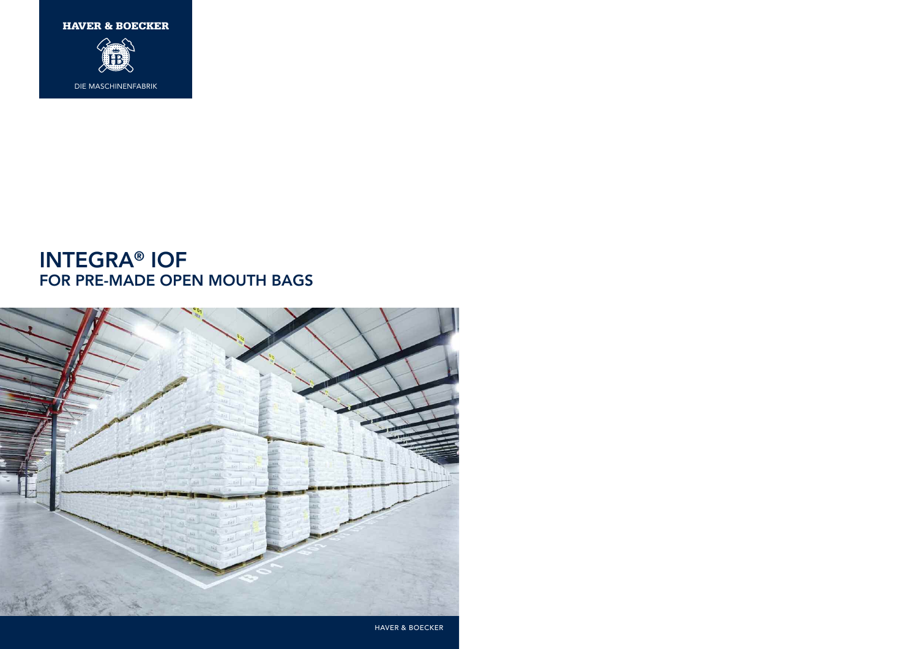

### **INTEGRA® IOF FOR PRE-MADE OPEN MOUTH BAGS**

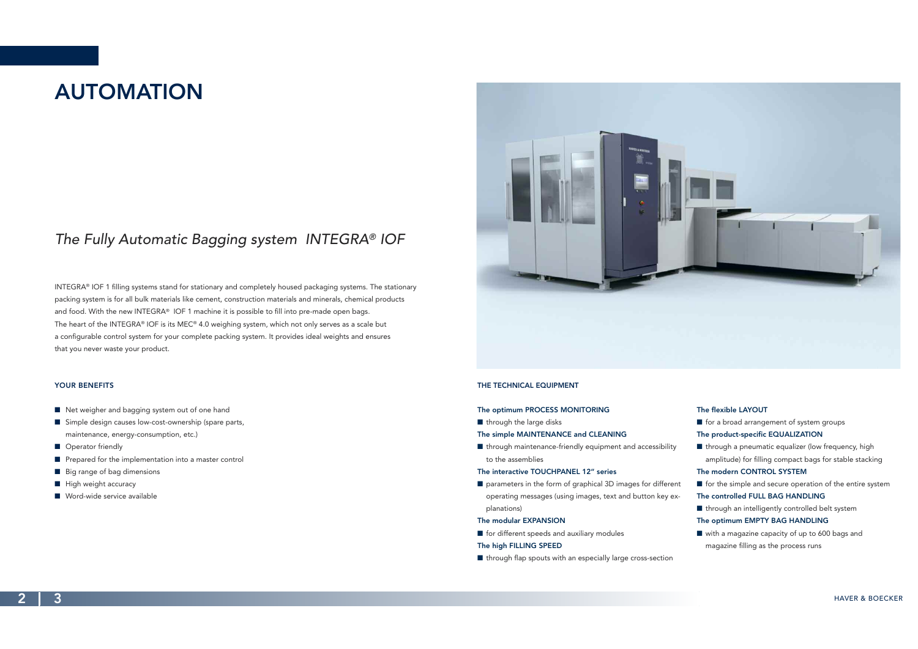**2 3** HAVER & BOECKER

## **AUTOMATION**

### *The Fully Automatic Bagging system INTEGRA® IOF*

INTEGRA® IOF 1 filling systems stand for stationary and completely housed packaging systems. The stationary packing system is for all bulk materials like cement, construction materials and minerals, chemical products and food. With the new INTEGRA® IOF 1 machine it is possible to fill into pre-made open bags. The heart of the INTEGRA® IOF is its MEC® 4.0 weighing system, which not only serves as a scale but a configurable control system for your complete packing system. It provides ideal weights and ensures that you never waste your product.

> $\blacksquare$  through maintenance-friendly equipment and accessibility to the assemblies

 $\blacksquare$  parameters in the form of graphical 3D images for different operating messages (using images, text and button key explanations)

#### **THE TECHNICAL EQUIPMENT**

#### **The optimum PROCESS MONITORING**

 $\blacksquare$  through the large disks

#### **The simple MAINTENANCE and CLEANING**

 $\blacksquare$  through a pneumatic equalizer (low frequency, high amplitude) for filling compact bags for stable stacking

#### **The interactive TOUCHPANEL 12" series**

 $\blacksquare$  with a magazine capacity of up to 600 bags and magazine filling as the process runs

#### **The modular EXPANSION**

 $\blacksquare$  for different speeds and auxiliary modules

#### **The high FILLING SPEED**

 $\blacksquare$  through flap spouts with an especially large cross-section

#### **YOUR BENEFITS**

- $\blacksquare$  Net weigher and bagging system out of one hand
- Simple design causes low-cost-ownership (spare parts, maintenance, energy-consumption, etc.)
- **n** Operator friendly
- $\blacksquare$  Prepared for the implementation into a master control
- $\blacksquare$  Big range of bag dimensions
- $\blacksquare$  High weight accuracy
- $\blacksquare$  Word-wide service available



#### **The flexible LAYOUT**

**n** for a broad arrangement of system groups

#### **The product-specific EQUALIZATION**

#### **The modern CONTROL SYSTEM**

- $\blacksquare$  for the simple and secure operation of the entire system **The controlled FULL BAG HANDLING**
- $\blacksquare$  through an intelligently controlled belt system

#### **The optimum EMPTY BAG HANDLING**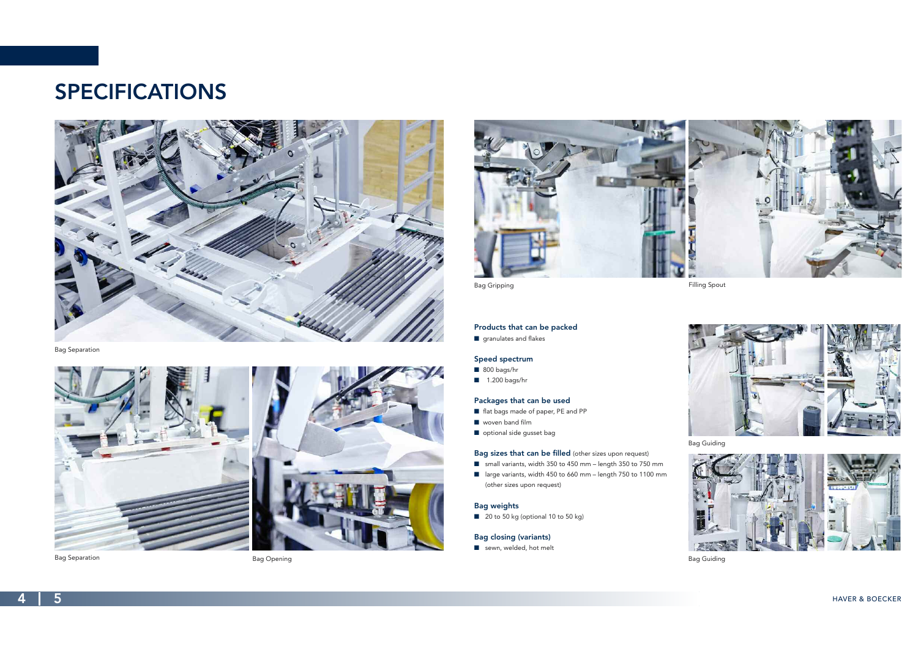**4 5** HAVER & BOECKER

## **SPECIFICATIONS**



#### **Products that can be packed**

 $\blacksquare$  granulates and flakes

#### **Speed spectrum**

- $\blacksquare$  800 bags/hr
- $\blacksquare$  1.200 bags/hr

#### **Packages that can be used**

- flat bags made of paper, PE and PP
- $\blacksquare$  woven band film
- n optional side gusset bag

- small variants, width 350 to 450 mm length 350 to 750 mm
- large variants, width 450 to 660 mm length 750 to 1100 mm (other sizes upon request)

#### **Bag sizes that can be filled** (other sizes upon request)

#### **Bag weights**

 $\Box$  20 to 50 kg (optional 10 to 50 kg)

#### **Bag closing (variants)**

 $\blacksquare$  sewn, welded, hot melt

Bag Separation



Bag Separation **Bag Opening** 







Bag Guiding





Bag Guiding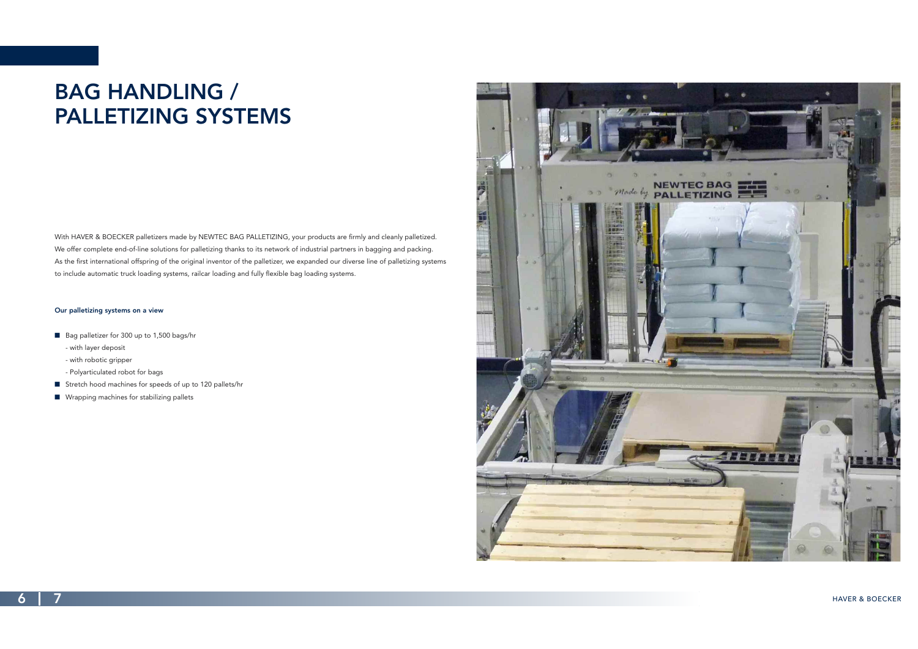### **6 7** HAVER & BOECKER

# **BAG HANDLING / PALLETIZING SYSTEMS**

With HAVER & BOECKER palletizers made by NEWTEC BAG PALLETIZING, your products are firmly and cleanly palletized. We offer complete end-of-line solutions for palletizing thanks to its network of industrial partners in bagging and packing. As the first international offspring of the original inventor of the palletizer, we expanded our diverse line of palletizing systems to include automatic truck loading systems, railcar loading and fully flexible bag loading systems.

#### **Our palletizing systems on a view**

- Bag palletizer for 300 up to 1,500 bags/hr
	- with layer deposit
	- with robotic gripper
	- Polyarticulated robot for bags
- Stretch hood machines for speeds of up to 120 pallets/hr
- $\blacksquare$  Wrapping machines for stabilizing pallets